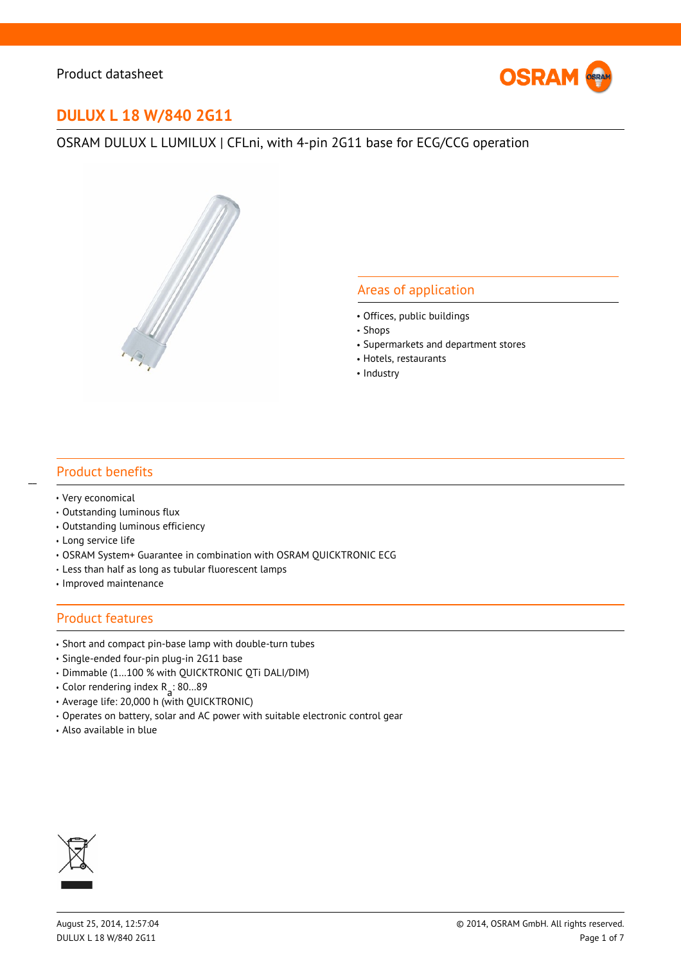

# **DULUX L 18 W/840 2G11**

# OSRAM DULUX L LUMILUX | CFLni, with 4-pin 2G11 base for ECG/CCG operation



## Areas of application

- Offices, public buildings
- Shops
- Supermarkets and department stores
- Hotels, restaurants
- Industry

## Product benefits

Very economical

 $\overline{a}$ 

- Outstanding luminous flux
- Outstanding luminous efficiency
- Long service life
- OSRAM System+ Guarantee in combination with OSRAM QUICKTRONIC ECG
- Less than half as long as tubular fluorescent lamps
- Improved maintenance

#### Product features

- Short and compact pin-base lamp with double-turn tubes
- Single-ended four-pin plug-in 2G11 base
- Dimmable (1…100 % with QUICKTRONIC QTi DALI/DIM)
- Color rendering index R a : 80…89
- Average life: 20,000 h (with QUICKTRONIC)
- Operates on battery, solar and AC power with suitable electronic control gear
- Also available in blue

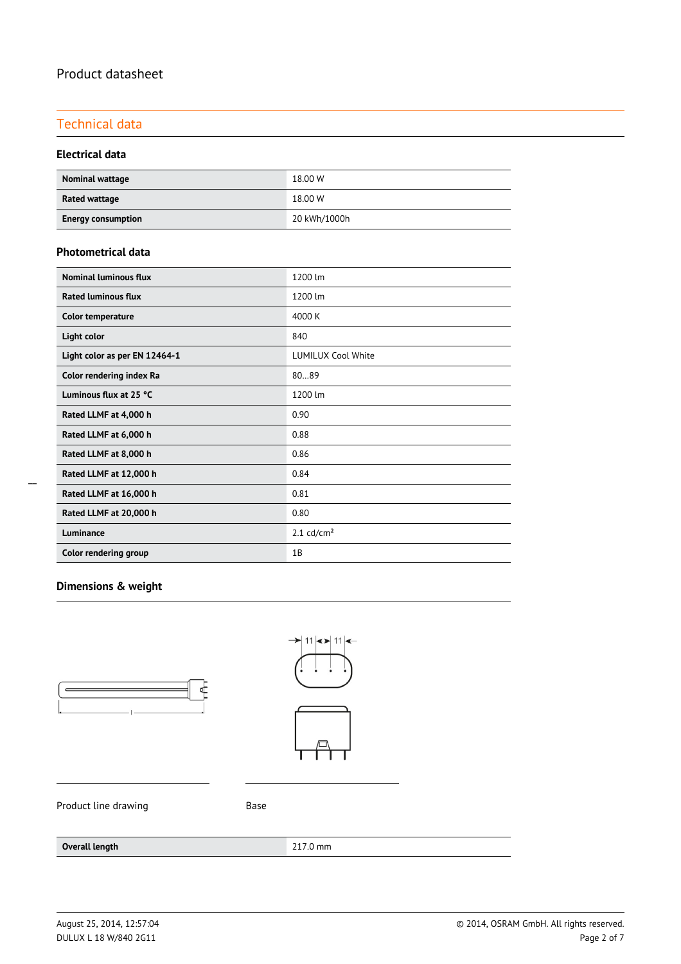# Technical data

#### **Electrical data**

| <b>Nominal wattage</b>    | 18.00 W      |
|---------------------------|--------------|
| Rated wattage             | 18.00 W      |
| <b>Energy consumption</b> | 20 kWh/1000h |

#### **Photometrical data**

| <b>Nominal luminous flux</b>  | 1200 lm                   |
|-------------------------------|---------------------------|
| <b>Rated luminous flux</b>    | 1200 lm                   |
| <b>Color temperature</b>      | 4000 K                    |
| Light color                   | 840                       |
| Light color as per EN 12464-1 | <b>LUMILUX Cool White</b> |
| Color rendering index Ra      | 8089                      |
| Luminous flux at 25 °C        | 1200 lm                   |
| Rated LLMF at 4,000 h         | 0.90                      |
| Rated LLMF at 6,000 h         | 0.88                      |
| Rated LLMF at 8,000 h         | 0.86                      |
| Rated LLMF at 12,000 h        | 0.84                      |
| Rated LLMF at 16,000 h        | 0.81                      |
| Rated LLMF at 20,000 h        | 0.80                      |
| Luminance                     | $2.1$ cd/cm <sup>2</sup>  |
| Color rendering group         | 1B                        |

 $\overline{a}$ 

# **Dimensions & weight**





Product line drawing example as Base

#### **Overall length** 217.0 mm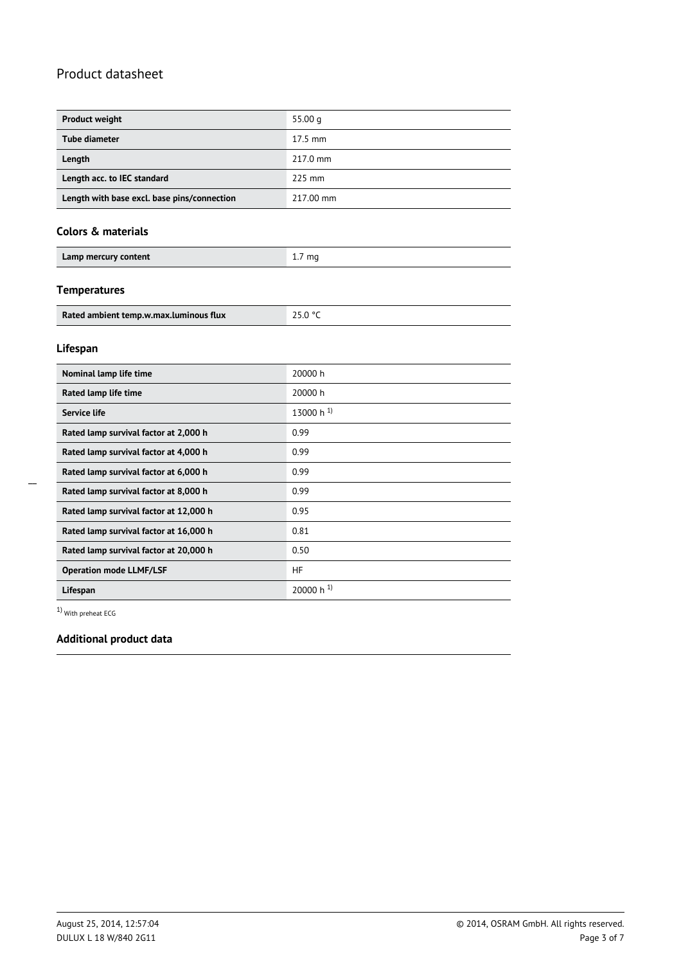| <b>Product weight</b>                       | 55.00 $q$ |
|---------------------------------------------|-----------|
| <b>Tube diameter</b>                        | $17.5$ mm |
| Length                                      | 217.0 mm  |
| Length acc. to IEC standard                 | $225$ mm  |
| Length with base excl. base pins/connection | 217.00 mm |

#### **Colors & materials**

| Lamp mercury content | $1./$ mg |
|----------------------|----------|
|                      |          |

#### **Temperatures**

| Rated ambient temp.w.max.luminous flux |  |
|----------------------------------------|--|

#### **Lifespan**

| Nominal lamp life time                 | 20000 h        |  |
|----------------------------------------|----------------|--|
| Rated lamp life time                   | 20000 h        |  |
| Service life                           | 13000 h $^{1}$ |  |
| Rated lamp survival factor at 2,000 h  | 0.99           |  |
| Rated lamp survival factor at 4,000 h  | 0.99           |  |
| Rated lamp survival factor at 6,000 h  | 0.99           |  |
| Rated lamp survival factor at 8,000 h  | 0.99           |  |
| Rated lamp survival factor at 12,000 h | 0.95           |  |
| Rated lamp survival factor at 16,000 h | 0.81           |  |
| Rated lamp survival factor at 20,000 h | 0.50           |  |
| <b>Operation mode LLMF/LSF</b>         | <b>HF</b>      |  |
| Lifespan                               | 20000 h $^{1}$ |  |

1) With preheat ECG

# **Additional product data**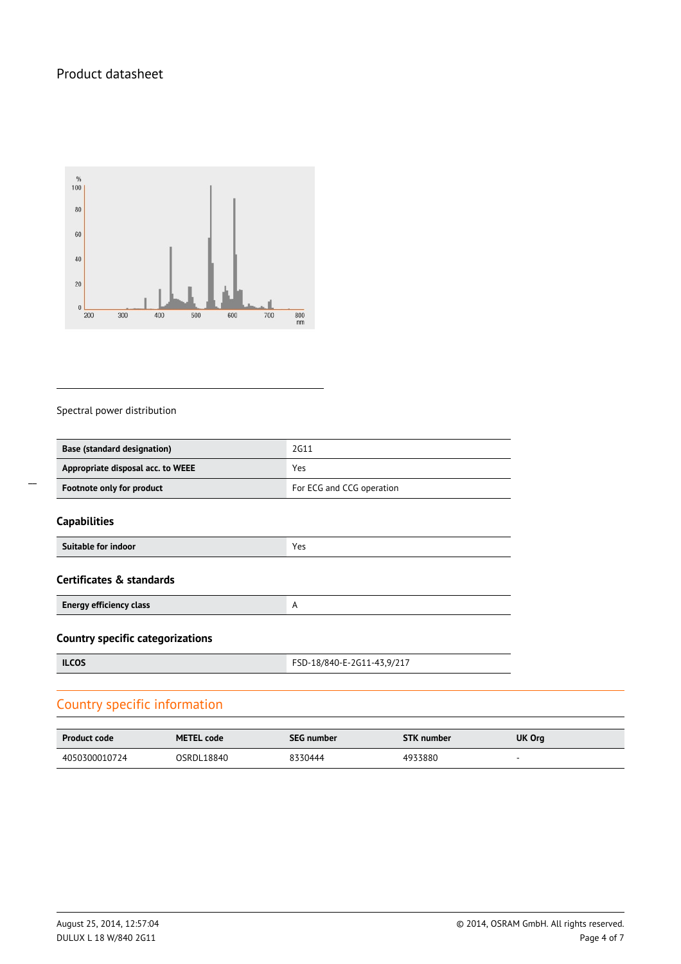

#### Spectral power distribution

| <b>Base (standard designation)</b> | 2G11                      |  |
|------------------------------------|---------------------------|--|
| Appropriate disposal acc. to WEEE  | Yes                       |  |
| Footnote only for product          | For ECG and CCG operation |  |

#### **Capabilities**

| Suitable for indoor<br>Vor<br><u>.</u> |  |
|----------------------------------------|--|

#### **Certificates & standards**

**Energy efficiency class** A A

**Country specific categorizations**

**ILCOS** FSD-18/840-E-2G11-43,9/217

# Country specific information

| <b>Product code</b> | <b>METEL code</b> | <b>SEG number</b> | <b>STK</b> number | UK Org |
|---------------------|-------------------|-------------------|-------------------|--------|
| 4050300010724       | OSRDL18840        | 8330444           | 4933880           |        |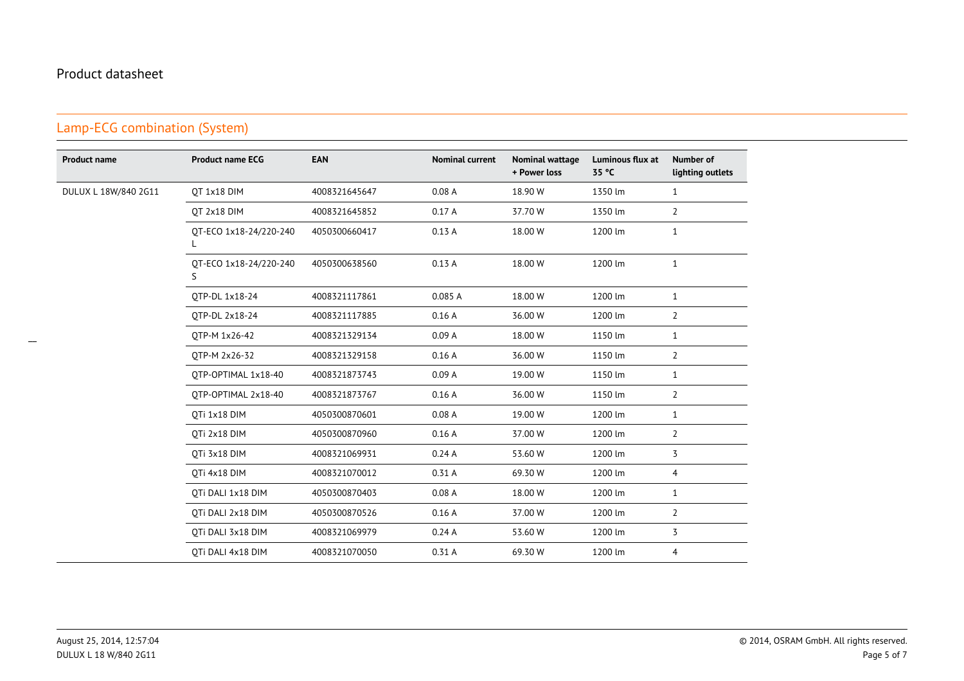#### **Product name Product name ECG EAN Nominal current Nominal wattage + Power lossLuminous flux at35 °CNumber oflighting outlets**DULUX L 18W/840 2G11 QT 1x18 DIM <sup>4008321645647</sup> 0.08 A 18.90 W 1350 lm <sup>1</sup> QT 2x18 DIM <sup>4008321645852</sup> 0.17 A 37.70 W 1350 lm <sup>2</sup> QT-ECO 1x18-24/220-240L4050300660417 0.13 A 18.00 W 1200 lm <sup>1</sup> QT-ECO 1x18-24/220-240S4050300638560 0.13 A 18.00 W 1200 lm <sup>1</sup> QTP-DL 1x18-24 <sup>4008321117861</sup> 0.085 A 18.00 W 1200 lm <sup>1</sup> QTP-DL 2x18-24 <sup>4008321117885</sup> 0.16 A 36.00 W 1200 lm <sup>2</sup> QTP-M 1x26-42 <sup>4008321329134</sup> 0.09 A 18.00 W 1150 lm <sup>1</sup> QTP-M 2x26-32 <sup>4008321329158</sup> 0.16 A 36.00 W 1150 lm <sup>2</sup> QTP-OPTIMAL 1x18-40 <sup>4008321873743</sup> 0.09 A 19.00 W 1150 lm <sup>1</sup> QTP-OPTIMAL 2x18-40 <sup>4008321873767</sup> 0.16 A 36.00 W 1150 lm <sup>2</sup> QTi 1x18 DIM <sup>4050300870601</sup> 0.08 A 19.00 W 1200 lm <sup>1</sup> QTi 2x18 DIM <sup>4050300870960</sup> 0.16 A 37.00 W 1200 lm <sup>2</sup> QTi 3x18 DIM <sup>4008321069931</sup> 0.24 A 53.60 W 1200 lm <sup>3</sup> QTi 4x18 DIM <sup>4008321070012</sup> 0.31 A 69.30 W 1200 lm <sup>4</sup> QTi DALI 1x18 DIM <sup>4050300870403</sup> 0.08 A 18.00 W 1200 lm <sup>1</sup> QTi DALI 2x18 DIM <sup>4050300870526</sup> 0.16 A 37.00 W 1200 lm <sup>2</sup> QTi DALI 3x18 DIM <sup>4008321069979</sup> 0.24 A 53.60 W 1200 lm <sup>3</sup> QTi DALI 4x18 DIM <sup>4008321070050</sup> 0.31 A 69.30 W1200 lm <sup>4</sup>

# Lamp-ECG combination (System)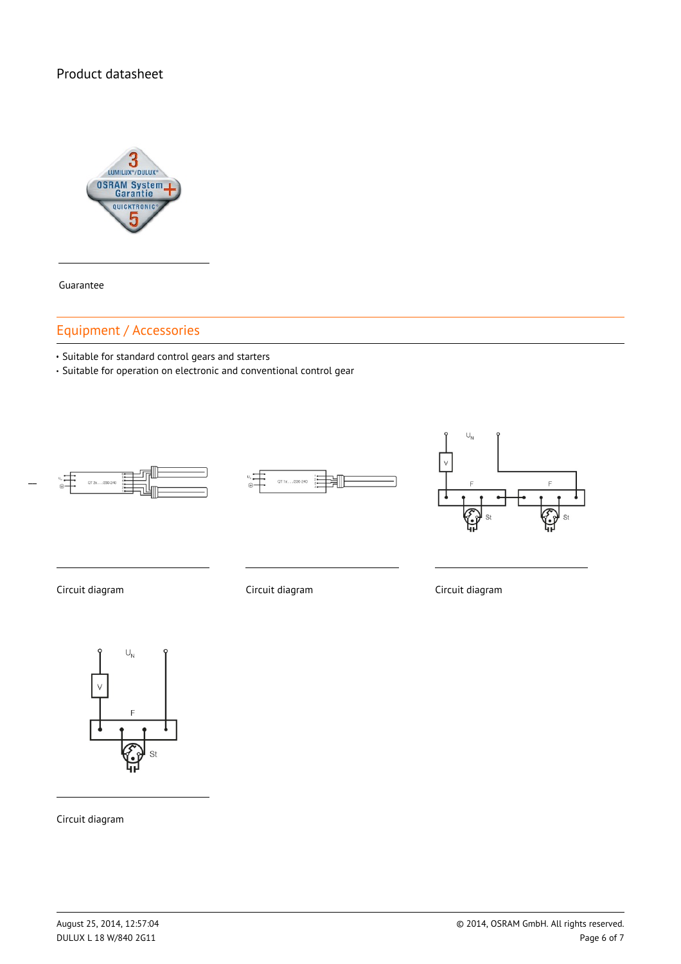

Guarantee

# Equipment / Accessories

Suitable for standard control gears and starters

Suitable for operation on electronic and conventional control gear







Circuit diagram Circuit diagram Circuit diagram



Circuit diagram